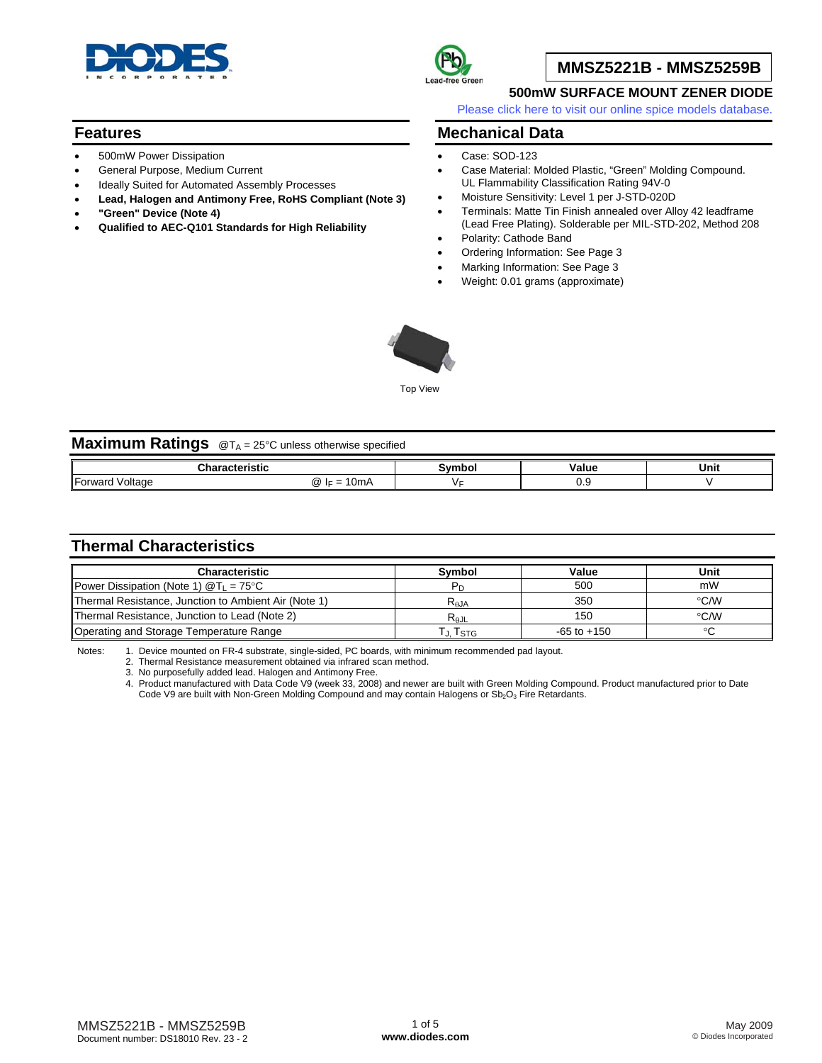

### **Features**

- 500mW Power Dissipation
- General Purpose, Medium Current
- Ideally Suited for Automated Assembly Processes
- **Lead, Halogen and Antimony Free, RoHS Compliant (Note 3)**
- **"Green" Device (Note 4)**
- **Qualified to AEC-Q101 Standards for High Reliability**



## **MMSZ5221B - MMSZ5259B**

#### **500mW SURFACE MOUNT ZENER DIODE**

[Please click here to visit our online spice models database.](http://www.diodes.com/products/spicemodels/index.php)

### **Mechanical Data**

- Case: SOD-123
- Case Material: Molded Plastic, "Green" Molding Compound. UL Flammability Classification Rating 94V-0
- Moisture Sensitivity: Level 1 per J-STD-020D
- Terminals: Matte Tin Finish annealed over Alloy 42 leadframe (Lead Free Plating). Solderable per MIL-STD-202, Method 208
- Polarity: Cathode Band
- Ordering Information: See Page 3
- Marking Information: See Page 3
- Weight: 0.01 grams (approximate)



Top View

| <b>Maximum Ratings</b> @TA = 25°C unless otherwise specified |               |        |       |      |  |  |  |
|--------------------------------------------------------------|---------------|--------|-------|------|--|--|--|
| Characteristic                                               |               | Symbol | Value | Unit |  |  |  |
| Forward Voltage                                              | $@$ IF = 10mA |        | 0.9   |      |  |  |  |

## **Thermal Characteristics**

| <b>Characteristic</b>                                | Symbol    | Value           | Unit          |
|------------------------------------------------------|-----------|-----------------|---------------|
| Power Dissipation (Note 1) $@T_1 = 75$ °C            |           | 500             | mW            |
| Thermal Resistance, Junction to Ambient Air (Note 1) | $R_{AJA}$ | 350             | $\degree$ C/W |
| Thermal Resistance, Junction to Lead (Note 2)        | $R_{AJL}$ | 150             | $\degree$ C/W |
| Operating and Storage Temperature Range              | . J. Tstg | $-65$ to $+150$ |               |

Notes: 1. Device mounted on FR-4 substrate, single-sided, PC boards, with minimum recommended pad layout.

2. Thermal Resistance measurement obtained via infrared scan method.

3. No purposefully added lead. Halogen and Antimony Free.

4. Product manufactured with Data Code V9 (week 33, 2008) and newer are built with Green Molding Compound. Product manufactured prior to Date Code V9 are built with Non-Green Molding Compound and may contain Halogens or Sb<sub>2</sub>O<sub>3</sub> Fire Retardants.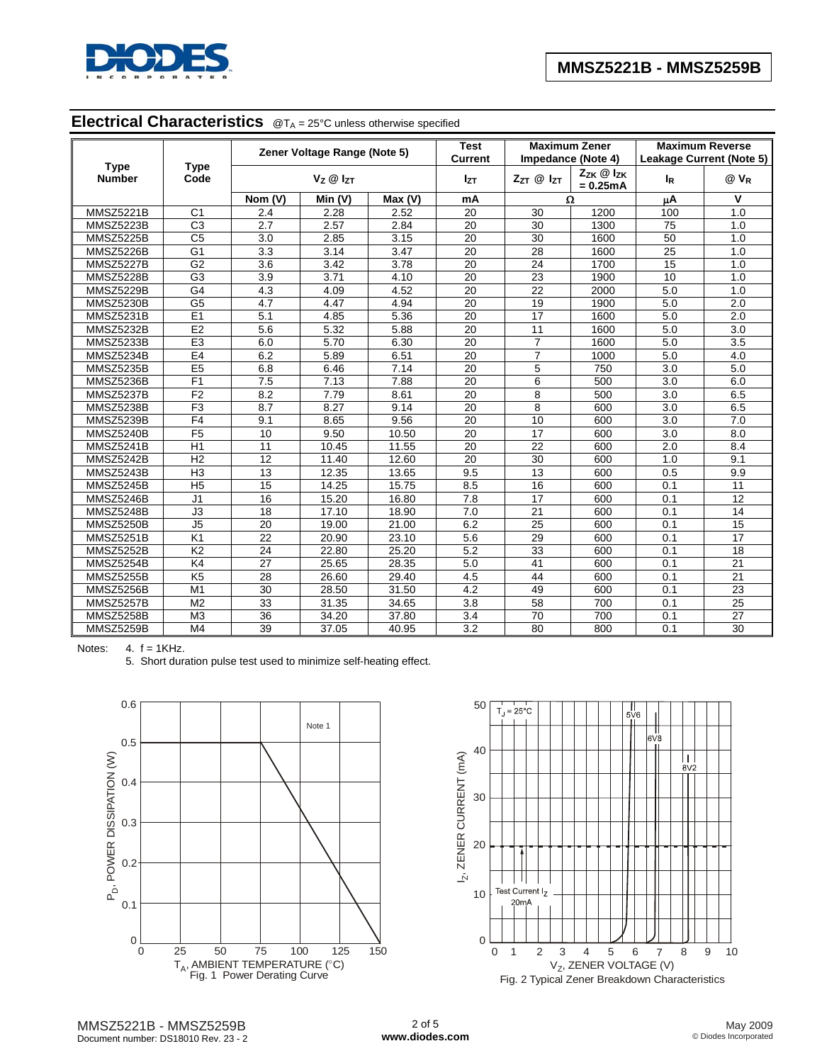

# **Electrical Characteristics** @TA = 25°C unless otherwise specified

|                              |                     |         | Zener Voltage Range (Note 5) |                 | <b>Test</b><br><b>Current</b> |                                                  | <b>Maximum Zener</b><br>Impedance (Note 4) | <b>Maximum Reverse</b><br><b>Leakage Current (Note 5)</b> |                  |  |
|------------------------------|---------------------|---------|------------------------------|-----------------|-------------------------------|--------------------------------------------------|--------------------------------------------|-----------------------------------------------------------|------------------|--|
| <b>Type</b><br><b>Number</b> | <b>Type</b><br>Code |         | $V_Z \otimes I_{ZT}$         | I <sub>ZT</sub> |                               | $Z_{ZK}$ $@$ $I_{ZK}$<br>ZzT @ IzT<br>$= 0.25mA$ |                                            | <b>I</b> <sub>R</sub>                                     | @ V <sub>R</sub> |  |
|                              |                     | Nom (V) | Min (V)                      | Max (V)         | mA                            |                                                  | Ω                                          | μA                                                        | $\mathbf v$      |  |
| <b>MMSZ5221B</b>             | C <sub>1</sub>      | 2.4     | 2.28                         | 2.52            | 20                            | 30                                               | 1200                                       | 100                                                       | 1.0              |  |
| MMSZ5223B                    | $\overline{C3}$     | 2.7     | 2.57                         | 2.84            | 20                            | 30                                               | 1300                                       | 75                                                        | 1.0              |  |
| <b>MMSZ5225B</b>             | $\overline{C5}$     | 3.0     | 2.85                         | 3.15            | 20                            | 30                                               | 1600                                       | 50                                                        | 1.0              |  |
| MMSZ5226B                    | G <sub>1</sub>      | 3.3     | 3.14                         | 3.47            | 20                            | 28                                               | 1600                                       | 25                                                        | 1.0              |  |
| MMSZ5227B                    | G <sub>2</sub>      | 3.6     | 3.42                         | 3.78            | 20                            | 24                                               | 1700                                       | 15                                                        | 1.0              |  |
| <b>MMSZ5228B</b>             | G <sub>3</sub>      | 3.9     | 3.71                         | 4.10            | 20                            | 23                                               | 1900                                       | 10                                                        | 1.0              |  |
| <b>MMSZ5229B</b>             | G4                  | 4.3     | 4.09                         | 4.52            | 20                            | 22                                               | 2000                                       | 5.0                                                       | 1.0              |  |
| MMSZ5230B                    | G <sub>5</sub>      | 4.7     | 4.47                         | 4.94            | 20                            | 19                                               | 1900                                       | 5.0                                                       | 2.0              |  |
| <b>MMSZ5231B</b>             | E1                  | 5.1     | 4.85                         | 5.36            | 20                            | 17                                               | 1600                                       | 5.0                                                       | 2.0              |  |
| MMSZ5232B                    | E <sub>2</sub>      | 5.6     | 5.32                         | 5.88            | 20                            | 11                                               | 1600                                       | 5.0                                                       | 3.0              |  |
| MMSZ5233B                    | E3                  | 6.0     | 5.70                         | 6.30            | 20                            | $\overline{7}$                                   | 1600                                       | $\overline{5.0}$                                          | 3.5              |  |
| MMSZ5234B                    | E4                  | 6.2     | 5.89                         | 6.51            | 20                            | $\overline{7}$                                   | 1000                                       | 5.0                                                       | 4.0              |  |
| MMSZ5235B                    | E <sub>5</sub>      | 6.8     | 6.46                         | 7.14            | 20                            | 5                                                | 750                                        | 3.0                                                       | 5.0              |  |
| MMSZ5236B                    | F <sub>1</sub>      | 7.5     | 7.13                         | 7.88            | 20                            | 6                                                | 500                                        | 3.0                                                       | 6.0              |  |
| <b>MMSZ5237B</b>             | F <sub>2</sub>      | 8.2     | 7.79                         | 8.61            | 20                            | 8                                                | 500                                        | 3.0                                                       | 6.5              |  |
| <b>MMSZ5238B</b>             | F3                  | 8.7     | 8.27                         | 9.14            | 20                            | 8                                                | 600                                        | 3.0                                                       | 6.5              |  |
| <b>MMSZ5239B</b>             | F <sub>4</sub>      | 9.1     | 8.65                         | 9.56            | 20                            | 10                                               | 600                                        | 3.0                                                       | 7.0              |  |
| MMSZ5240B                    | F <sub>5</sub>      | 10      | 9.50                         | 10.50           | 20                            | $\overline{17}$                                  | 600                                        | 3.0                                                       | 8.0              |  |
| MMSZ5241B                    | H1                  | 11      | 10.45                        | 11.55           | 20                            | 22                                               | 600                                        | 2.0                                                       | 8.4              |  |
| <b>MMSZ5242B</b>             | H <sub>2</sub>      | 12      | 11.40                        | 12.60           | 20                            | 30                                               | 600                                        | 1.0                                                       | 9.1              |  |
| MMSZ5243B                    | H <sub>3</sub>      | 13      | 12.35                        | 13.65           | 9.5                           | 13                                               | 600                                        | 0.5                                                       | 9.9              |  |
| <b>MMSZ5245B</b>             | H <sub>5</sub>      | 15      | 14.25                        | 15.75           | 8.5                           | 16                                               | 600                                        | 0.1                                                       | 11               |  |
| MMSZ5246B                    | J <sub>1</sub>      | 16      | 15.20                        | 16.80           | 7.8                           | $\overline{17}$                                  | 600                                        | 0.1                                                       | 12               |  |
| MMSZ5248B                    | J3                  | 18      | 17.10                        | 18.90           | 7.0                           | 21                                               | 600                                        | 0.1                                                       | 14               |  |
| <b>MMSZ5250B</b>             | J5                  | 20      | 19.00                        | 21.00           | 6.2                           | 25                                               | 600                                        | 0.1                                                       | $\overline{15}$  |  |
| <b>MMSZ5251B</b>             | $\overline{K1}$     | 22      | 20.90                        | 23.10           | 5.6                           | 29                                               | 600                                        | 0.1                                                       | $\overline{17}$  |  |
| MMSZ5252B                    | K <sub>2</sub>      | 24      | 22.80                        | 25.20           | 5.2                           | 33                                               | 600                                        | 0.1                                                       | 18               |  |
| MMSZ5254B                    | K4                  | 27      | 25.65                        | 28.35           | 5.0                           | 41                                               | 600                                        | 0.1                                                       | $\overline{21}$  |  |
| <b>MMSZ5255B</b>             | K <sub>5</sub>      | 28      | 26.60                        | 29.40           | 4.5                           | 44                                               | 600                                        | 0.1                                                       | 21               |  |
| MMSZ5256B                    | M1                  | 30      | 28.50                        | 31.50           | 4.2                           | 49                                               | 600                                        | 0.1                                                       | 23               |  |
| <b>MMSZ5257B</b>             | $\overline{M2}$     | 33      | 31.35                        | 34.65           | 3.8                           | 58                                               | 700                                        | 0.1                                                       | $\overline{25}$  |  |
| <b>MMSZ5258B</b>             | M <sub>3</sub>      | 36      | 34.20                        | 37.80           | 3.4                           | 70                                               | 700                                        | 0.1                                                       | 27               |  |
| <b>MMSZ5259B</b>             | M4                  | 39      | 37.05                        | 40.95           | 3.2                           | 80                                               | 800                                        | 0.1                                                       | 30               |  |

Notes:  $4. f = 1KHz$ .

5. Short duration pulse test used to minimize self-heating effect.



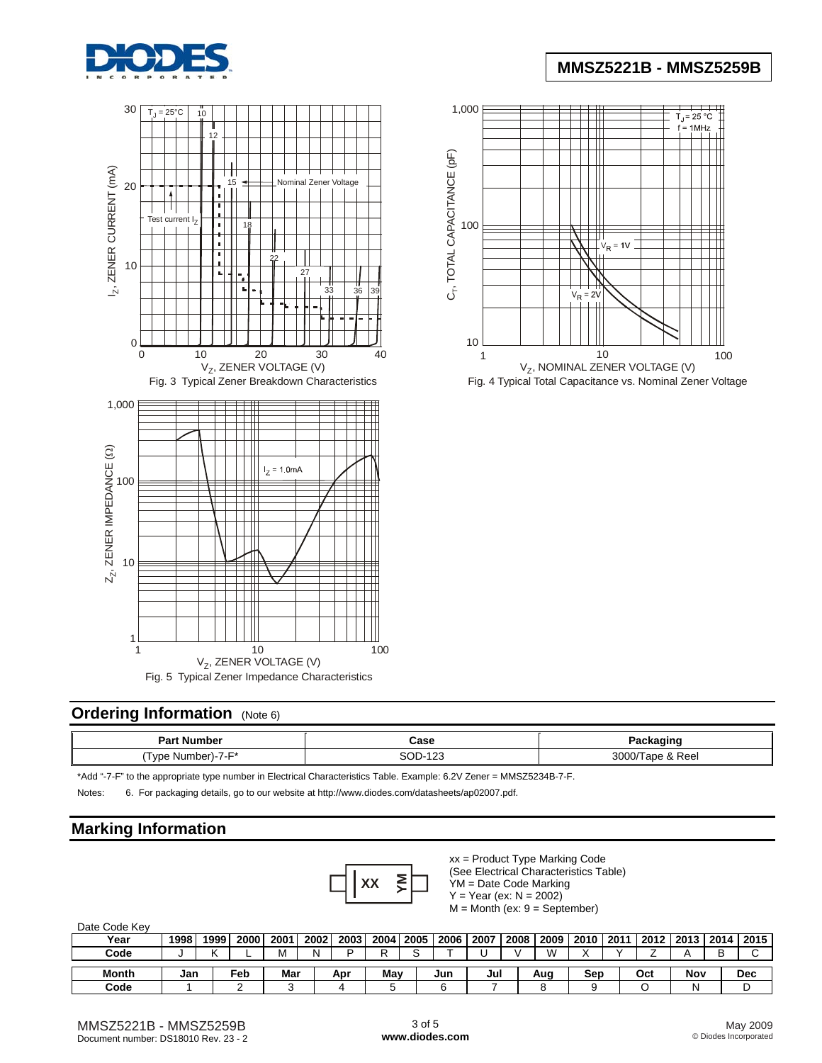







Fig. 4 Typical Total Capacitance vs. Nominal Zener Voltage

## **Ordering Information** (Note 6)

| Part Number                                             | Case                      |                |
|---------------------------------------------------------|---------------------------|----------------|
| ⊺vne<br>umber)<br>'⊣۔7۔r۱۔<br>N.<br>v v c<br><b>MAL</b> | SOE<br>$\sqrt{2}$<br>ن ۱۷ | 3000<br>& Reel |

\*Add "-7-F" to the appropriate type number in Electrical Characteristics Table. Example: 6.2V Zener = MMSZ5234B-7-F.

Notes: 6. For packaging details, go to our website at [http://www.diodes.com/datasheets/ap02007.pdf.](http://www.diodes.com/datasheets/ap02007.pdf)

### **Marking Information**



xx = Product Type Marking Code (See Electrical Characteristics Table) YM = Date Code Marking

 $Y = Year (ex: N = 2002)$ 

 $M =$ Month (ex:  $9 =$ September)

| Date Code Key |      |      |      |      |      |      |     |             |      |      |      |     |                    |     |     |  |                           |
|---------------|------|------|------|------|------|------|-----|-------------|------|------|------|-----|--------------------|-----|-----|--|---------------------------|
| Year          | 1998 | 1999 | 2000 | 2001 | 2002 | 2003 |     | 2004 2005   | 2006 | 2007 | 2008 |     | 2009   2010   2011 |     |     |  | 2012   2013   2014   2015 |
| Code          |      |      |      | M    | N    | ח    | ה   | $\sim$<br>u |      |      |      | w   |                    |     |     |  |                           |
|               |      |      |      |      |      |      |     |             |      |      |      |     |                    |     |     |  |                           |
| <b>Month</b>  | Jan  |      | Feb  | Mar  |      | Apr  | Mav |             | Jun  | Jul  |      | Aug | Sep                | Oct | Nov |  | Dec                       |
| Code          |      |      |      | ◠    |      |      |     |             |      |      |      |     |                    |     | N   |  |                           |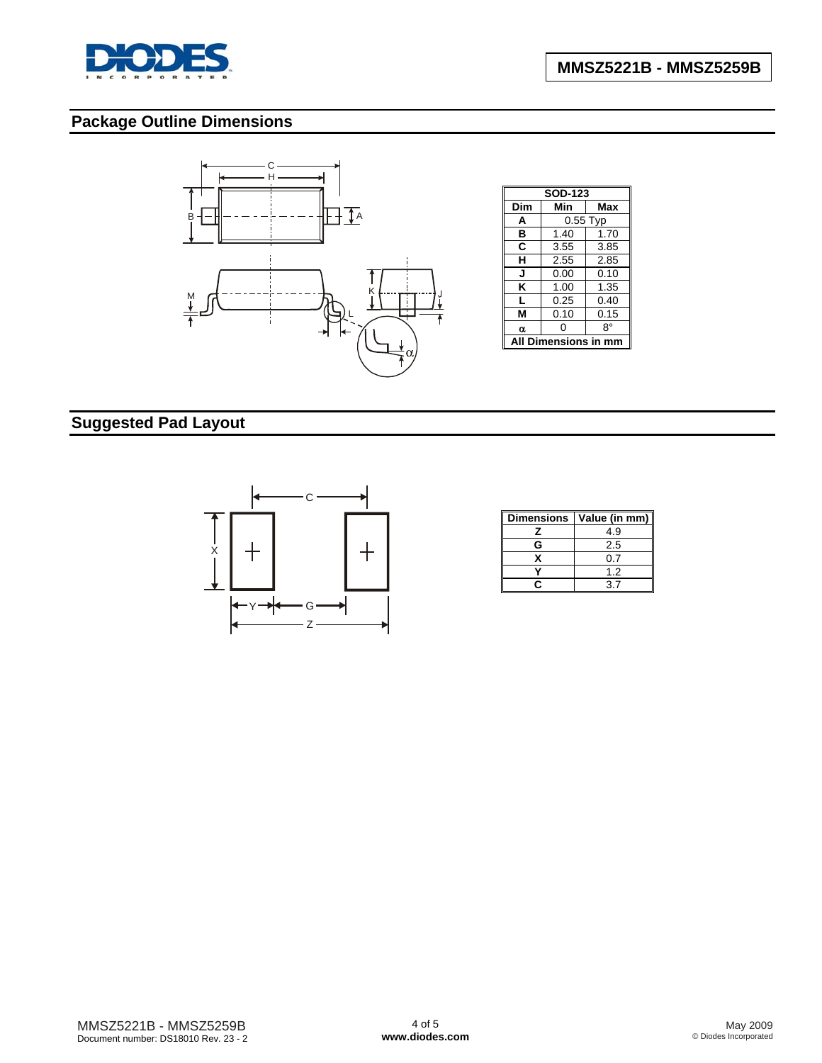

# **Package Outline Dimensions**



# **Suggested Pad Layout**



|   | Dimensions   Value (in mm) |
|---|----------------------------|
|   | 4.9                        |
| G | 2.5                        |
|   | 0.7                        |
|   | 1.2                        |
|   | 37                         |